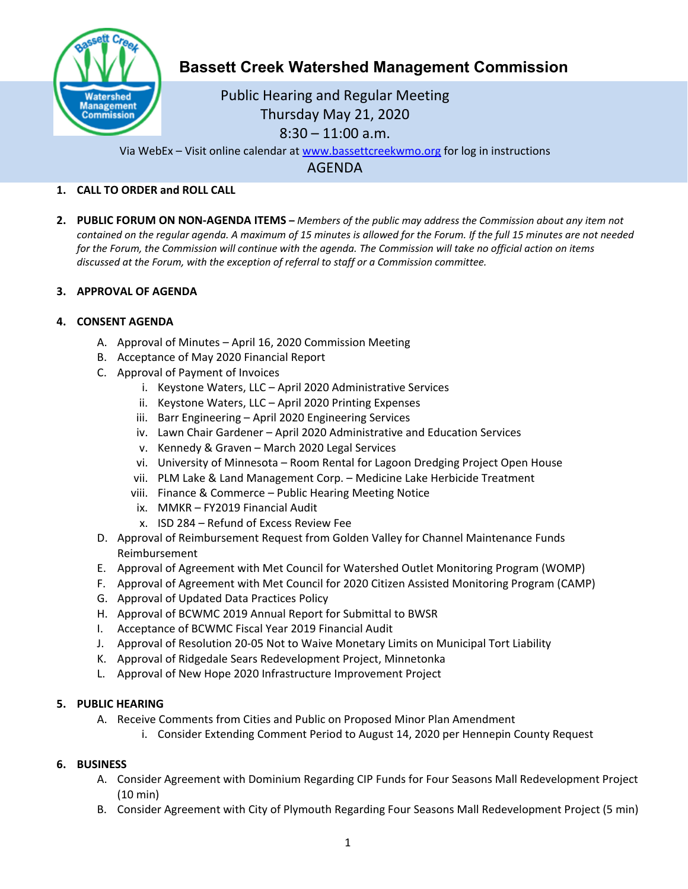

# **Bassett Creek Watershed Management Commission**

# Public Hearing and Regular Meeting Thursday May 21, 2020 8:30 – 11:00 a.m.

Via WebEx – Visit online calendar at [www.bassettcreekwmo.org](http://www.bassettcreekwmo.org/) for log in instructions

AGENDA

## **1. CALL TO ORDER and ROLL CALL**

**2. PUBLIC FORUM ON NON-AGENDA ITEMS –** *Members of the public may address the Commission about any item not contained on the regular agenda. A maximum of 15 minutes is allowed for the Forum. If the full 15 minutes are not needed for the Forum, the Commission will continue with the agenda. The Commission will take no official action on items discussed at the Forum, with the exception of referral to staff or a Commission committee.*

#### **3. APPROVAL OF AGENDA**

## **4. CONSENT AGENDA**

- A. Approval of Minutes April 16, 2020 Commission Meeting
- B. Acceptance of May 2020 Financial Report
- C. Approval of Payment of Invoices
	- i. Keystone Waters, LLC April 2020 Administrative Services
	- ii. Keystone Waters, LLC April 2020 Printing Expenses
	- iii. Barr Engineering April 2020 Engineering Services
	- iv. Lawn Chair Gardener April 2020 Administrative and Education Services
	- v. Kennedy & Graven March 2020 Legal Services
	- vi. University of Minnesota Room Rental for Lagoon Dredging Project Open House
	- vii. PLM Lake & Land Management Corp. Medicine Lake Herbicide Treatment
	- viii. Finance & Commerce Public Hearing Meeting Notice
	- ix. MMKR FY2019 Financial Audit
	- x. ISD 284 Refund of Excess Review Fee
- D. Approval of Reimbursement Request from Golden Valley for Channel Maintenance Funds Reimbursement
- E. Approval of Agreement with Met Council for Watershed Outlet Monitoring Program (WOMP)
- F. Approval of Agreement with Met Council for 2020 Citizen Assisted Monitoring Program (CAMP)
- G. Approval of Updated Data Practices Policy
- H. Approval of BCWMC 2019 Annual Report for Submittal to BWSR
- I. Acceptance of BCWMC Fiscal Year 2019 Financial Audit
- J. Approval of Resolution 20-05 Not to Waive Monetary Limits on Municipal Tort Liability
- K. Approval of Ridgedale Sears Redevelopment Project, Minnetonka
- L. Approval of New Hope 2020 Infrastructure Improvement Project

#### **5. PUBLIC HEARING**

- A. Receive Comments from Cities and Public on Proposed Minor Plan Amendment
	- i. Consider Extending Comment Period to August 14, 2020 per Hennepin County Request

#### **6. BUSINESS**

- A. Consider Agreement with Dominium Regarding CIP Funds for Four Seasons Mall Redevelopment Project (10 min)
- B. Consider Agreement with City of Plymouth Regarding Four Seasons Mall Redevelopment Project (5 min)